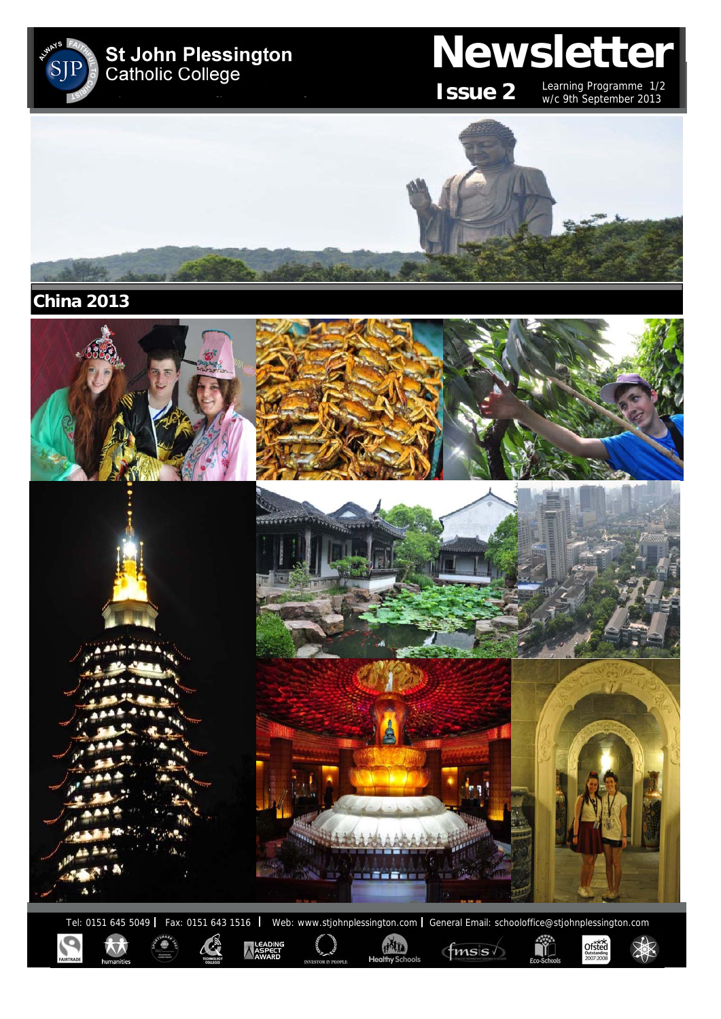

**China 2013** 



Tel: 0151 645 5049 | Fax: 0151 643 1516 | Web: www.stjohnplessington.com | General Email: schooloffice@stjohnplessington.com Ñ  $\underset{2007}{\text{Ofsted}}\underset{2007}{\text{fsted}}$ 

HATA

 $f$ <sub>msis</sub>

LEADING<br>ASPECT<br>AWARD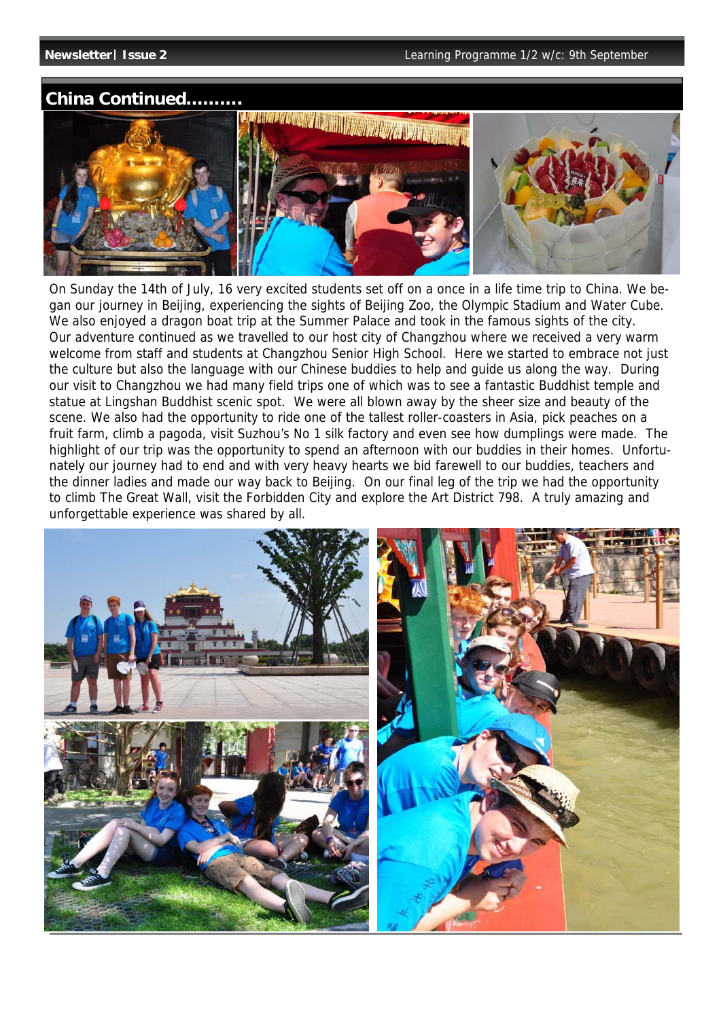### **China Continued……….**



On Sunday the 14th of July, 16 very excited students set off on a once in a life time trip to China. We began our journey in Beijing, experiencing the sights of Beijing Zoo, the Olympic Stadium and Water Cube. We also enjoyed a dragon boat trip at the Summer Palace and took in the famous sights of the city. Our adventure continued as we travelled to our host city of Changzhou where we received a very warm welcome from staff and students at Changzhou Senior High School. Here we started to embrace not just the culture but also the language with our Chinese buddies to help and guide us along the way. During our visit to Changzhou we had many field trips one of which was to see a fantastic Buddhist temple and statue at Lingshan Buddhist scenic spot. We were all blown away by the sheer size and beauty of the scene. We also had the opportunity to ride one of the tallest roller-coasters in Asia, pick peaches on a fruit farm, climb a pagoda, visit Suzhou's No 1 silk factory and even see how dumplings were made. The highlight of our trip was the opportunity to spend an afternoon with our buddies in their homes. Unfortunately our journey had to end and with very heavy hearts we bid farewell to our buddies, teachers and the dinner ladies and made our way back to Beijing. On our final leg of the trip we had the opportunity to climb The Great Wall, visit the Forbidden City and explore the Art District 798. A truly amazing and unforgettable experience was shared by all.

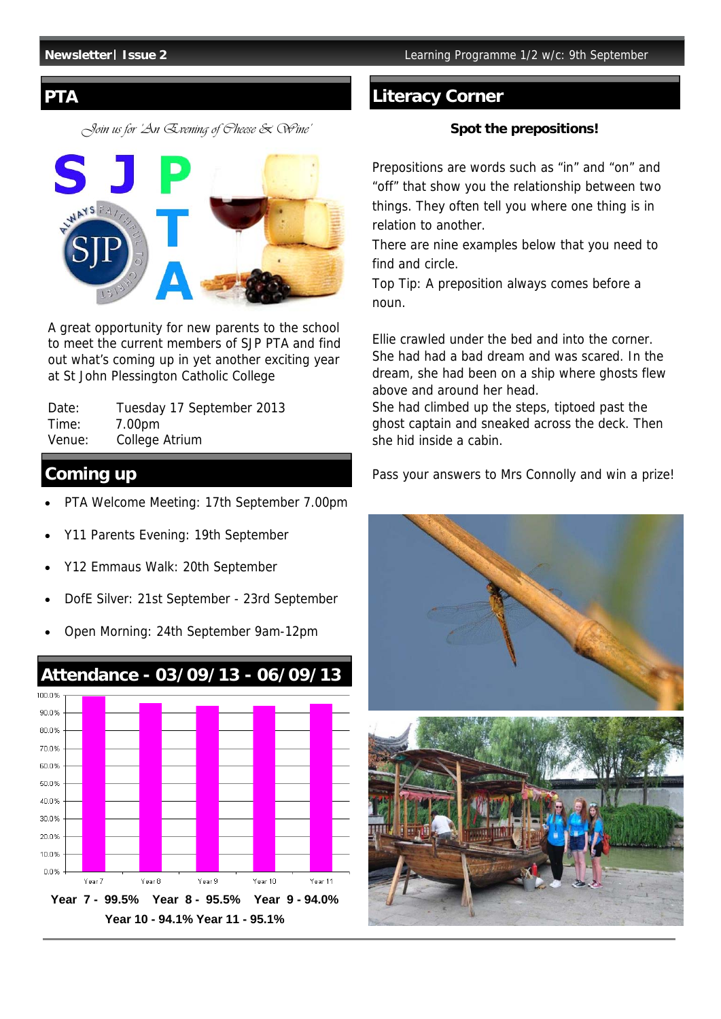*Join us for 'An Evening of Cheese & Wine'* 



A great opportunity for new parents to the school to meet the current members of SJP PTA and find out what's coming up in yet another exciting year at St John Plessington Catholic College

| Date:  | Tuesday 17 September 2013 |
|--------|---------------------------|
| Time:  | 7.00pm                    |
| Venue: | College Atrium            |

# **Coming up**

- PTA Welcome Meeting: 17th September 7.00pm
- Y11 Parents Evening: 19th September
- Y12 Emmaus Walk: 20th September
- DofE Silver: 21st September 23rd September
- Open Morning: 24th September 9am-12pm



## **PTA** Literacy Corner

#### **Spot the prepositions!**

Prepositions are words such as "in" and "on" and "off" that show you the relationship between two things. They often tell you where one thing is in relation to another.

There are nine examples below that you need to find and circle.

Top Tip: A preposition always comes before a noun.

Ellie crawled under the bed and into the corner. She had had a bad dream and was scared. In the dream, she had been on a ship where ghosts flew above and around her head.

She had climbed up the steps, tiptoed past the ghost captain and sneaked across the deck. Then she hid inside a cabin.

Pass your answers to Mrs Connolly and win a prize!